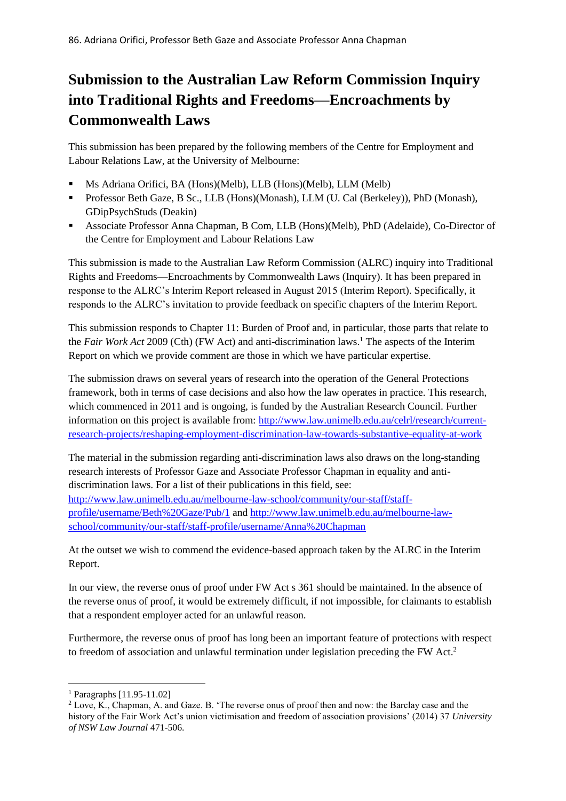## **Submission to the Australian Law Reform Commission Inquiry into Traditional Rights and Freedoms—Encroachments by Commonwealth Laws**

This submission has been prepared by the following members of the Centre for Employment and Labour Relations Law, at the University of Melbourne:

- Ms Adriana Orifici, BA (Hons)(Melb), LLB (Hons)(Melb), LLM (Melb)
- Professor Beth Gaze, B Sc., LLB (Hons)(Monash), LLM (U. Cal (Berkeley)), PhD (Monash), GDipPsychStuds (Deakin)
- Associate Professor Anna Chapman, B Com, LLB (Hons)(Melb), PhD (Adelaide), Co-Director of the Centre for Employment and Labour Relations Law

This submission is made to the Australian Law Reform Commission (ALRC) inquiry into Traditional Rights and Freedoms—Encroachments by Commonwealth Laws (Inquiry). It has been prepared in response to the ALRC's Interim Report released in August 2015 (Interim Report). Specifically, it responds to the ALRC's invitation to provide feedback on specific chapters of the Interim Report.

This submission responds to Chapter 11: Burden of Proof and, in particular, those parts that relate to the *Fair Work Act* 2009 (Cth) (FW Act) and anti-discrimination laws. <sup>1</sup> The aspects of the Interim Report on which we provide comment are those in which we have particular expertise.

The submission draws on several years of research into the operation of the General Protections framework, both in terms of case decisions and also how the law operates in practice. This research, which commenced in 2011 and is ongoing, is funded by the Australian Research Council. Further information on this project is available from: [http://www.law.unimelb.edu.au/celrl/research/current](http://www.law.unimelb.edu.au/celrl/research/current-research-projects/reshaping-employment-discrimination-law-towards-substantive-equality-at-work)[research-projects/reshaping-employment-discrimination-law-towards-substantive-equality-at-work](http://www.law.unimelb.edu.au/celrl/research/current-research-projects/reshaping-employment-discrimination-law-towards-substantive-equality-at-work)

The material in the submission regarding anti-discrimination laws also draws on the long-standing research interests of Professor Gaze and Associate Professor Chapman in equality and antidiscrimination laws. For a list of their publications in this field, see: [http://www.law.unimelb.edu.au/melbourne-law-school/community/our-staff/staff](http://www.law.unimelb.edu.au/melbourne-law-school/community/our-staff/staff-profile/username/Beth%20Gaze/Pub/1)[profile/username/Beth%20Gaze/Pub/1](http://www.law.unimelb.edu.au/melbourne-law-school/community/our-staff/staff-profile/username/Beth%20Gaze/Pub/1) and [http://www.law.unimelb.edu.au/melbourne-law](http://www.law.unimelb.edu.au/melbourne-law-school/community/our-staff/staff-profile/username/Anna%20Chapman)[school/community/our-staff/staff-profile/username/Anna%20Chapman](http://www.law.unimelb.edu.au/melbourne-law-school/community/our-staff/staff-profile/username/Anna%20Chapman)

At the outset we wish to commend the evidence-based approach taken by the ALRC in the Interim Report.

In our view, the reverse onus of proof under FW Act s 361 should be maintained. In the absence of the reverse onus of proof, it would be extremely difficult, if not impossible, for claimants to establish that a respondent employer acted for an unlawful reason.

Furthermore, the reverse onus of proof has long been an important feature of protections with respect to freedom of association and unlawful termination under legislation preceding the FW Act.<sup>2</sup>

**.** 

<sup>1</sup> Paragraphs [11.95-11.02]

<sup>2</sup> Love, K., Chapman, A. and Gaze. B. 'The reverse onus of proof then and now: the Barclay case and the history of the Fair Work Act's union victimisation and freedom of association provisions' (2014) 37 *University of NSW Law Journal* 471-506.